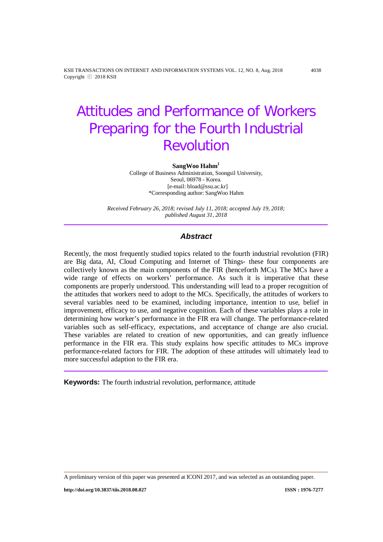KSII TRANSACTIONS ON INTERNET AND INFORMATION SYSTEMS VOL. 12, NO. 8, Aug. 2018 4038 Copyright ⓒ 2018 KSII

# Attitudes and Performance of Workers Preparing for the Fourth Industrial Revolution

#### SangWoo Hahm<sup>1</sup>

College of Business Administration, Soongsil University, Seoul, 06978 - Korea. [e-mail: bload@ssu.ac.kr] \*Corresponding author: SangWoo Hahm

*Received February 26, 2018; revised July 11, 2018; accepted July 19, 2018; published August 31, 2018*

## *Abstract*

Recently, the most frequently studied topics related to the fourth industrial revolution (FIR) are Big data, AI, Cloud Computing and Internet of Things- these four components are collectively known as the main components of the FIR (henceforth MCs*).* The MCs have a wide range of effects on workers' performance. As such it is imperative that these components are properly understood. This understanding will lead to a proper recognition of the attitudes that workers need to adopt to the MCs. Specifically, the attitudes of workers to several variables need to be examined, including importance, intention to use, belief in improvement, efficacy to use, and negative cognition. Each of these variables plays a role in determining how worker's performance in the FIR era will change. The performance-related variables such as self-efficacy, expectations, and acceptance of change are also crucial. These variables are related to creation of new opportunities, and can greatly influence performance in the FIR era. This study explains how specific attitudes to MCs improve performance-related factors for FIR. The adoption of these attitudes will ultimately lead to more successful adaption to the FIR era.

**Keywords:** The fourth industrial revolution, performance, attitude

**http://doi.org/10.3837/tiis.2018.08.027 ISSN : 1976-7277**

A preliminary version of this paper was presented at ICONI 2017, and was selected as an outstanding paper.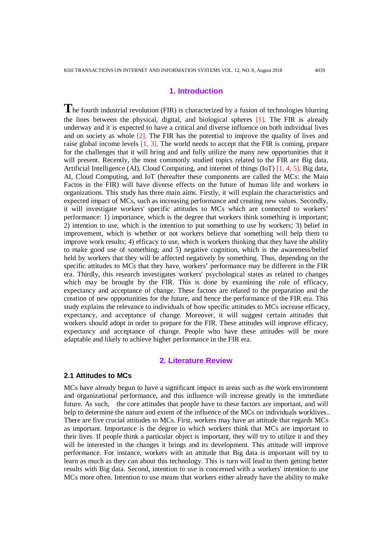# **1. Introduction**

The fourth industrial revolution (FIR) is characterized by a fusion of technologies blurring the lines between the physical, digital, and biological spheres [1]. The FIR is already underway and it is expected to have a critical and diverse influence on both individual lives and on society as whole [2]. The FIR has the potential to improve the quality of lives and raise global income levels  $\left[1, 3\right]$ . The world needs to accept that the FIR is coming, prepare for the challenges that it will bring and and fully utilize the many new opportunities that it will present. Recently, the most commonly studied topics related to the FIR are Big data, Artificial Intelligence (AI), Cloud Computing, and internet of things (IoT) [1, 4, 5]. Big data, AI, Cloud Computing, and IoT (hereafter these components are called the MCs: the Main Factos in the FIR) will have diverse effects on the future of human life and workers in organizations. This study has three main aims. Firstly, it will explain the characteristics and expected impact of MCs, such as increasing performance and creating new values. Secondly, it will investigate workers' specific attitudes to MCs which are connected to workers' performance: 1) importance, which is the degree that workers think something is important; 2) intention to use, which is the intention to put something to use by workers; 3) belief in improvement, which is whether or not workers believe that something will help them to improve work results; 4) efficacy to use, which is workers thinking that they have the ability to make good use of something; and 5) negative cognition, which is the awareness/belief held by workers that they will be affected negatively by something. Thus, depending on the specific attitudes to MCs that they have, workers' performance may be different in the FIR era. Thirdly, this research investigates workers' psychological states as related to changes which may be brought by the FIR. This is done by examining the role of efficacy, expectancy and acceptance of change. These factors are related to the preparation and the creation of new opportunities for the future, and hence the performance of the FIR era. This study explains the relevance to individuals of how specific attitudes to MCs increase efficacy, expectancy, and acceptance of change. Moreover, it will suggest certain attitudes that workers should adopt in order to prepare for the FIR. These attitudes will improve efficacy, expectancy and acceptance of change. People who have these attitudes will be more adaptable and likely to achieve higher performance in the FIR era.

#### **2. Literature Review**

#### **2.1 Attitudes to MCs**

MCs have already begun to have a significant impact in areas such as the work environment and organizational performance, and this influence will increase greatly in the immediate future. As such, the core attitudes that people have to these factors are important, and will help to determine the nature and extent of the influence of the MCs on individuals worklives.. There are five crucial attitudes to MCs. First, workers may have an attitude that regards MCs as important. Importance is the degree to which workers think that MCs are important to their lives. If people think a particular object is important, they will try to utilize it and they will be interested in the changes it brings and its development. This attitude will improve performance. For instance, workers with an attitude that Big data is important will try to learn as much as they can about this technology. This is turn will lead to them getting better results with Big data. Second, intention to use is concerned with a workers' intention to use MCs more often. Intention to use means that workers either already have the ability to make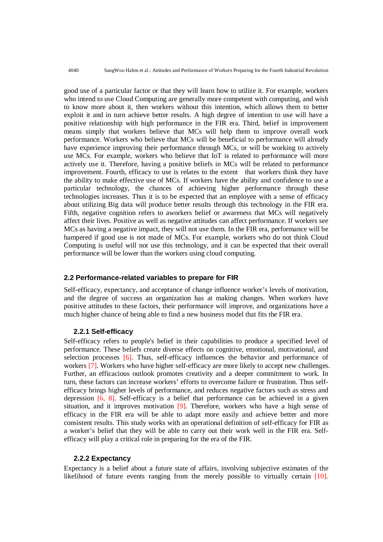good use of a particular factor or that they will learn how to utilize it. For example, workers who intend to use Cloud Computing are generally more competent with computing, and wish to know more about it, then workers without this intention, which allows them to better exploit it and in turn achieve better results. A high degree of intention to use will have a positive relationship with high performance in the FIR era. Third, belief in improvement means simply that workers believe that MCs will help them to improve overall work performance. Workers who believe that MCs will be beneficial to performance will already have experience improving their performance through MCs, or will be working to actively use MCs. For example, workers who believe that IoT is related to performance will more actively use it. Therefore, having a positive beliefs in MCs will be related to performance improvement. Fourth, efficacy to use is relates to the extent that workers think they have the ability to make effective use of MCs. If workers have the ability and confidence to use a particular technology, the chances of achieving higher performance through these technologies increases. Thus it is to be expected that an employee with a sense of efficacy about utilizing Big data will produce better results through this technology in the FIR era. Fifth, negative cognition refers to aworkers belief or awareness that MCs will negatively affect their lives. Positive as well as negative attitudes can affect performance. If workers see MCs as having a negative impact, they will not use them. In the FIR era, performance will be hampered if good use is not made of MCs. For example, workers who do not think Cloud Computing is useful will not use this technology, and it can be expected that their overall performance will be lower than the workers using cloud computing.

## **2.2 Performance-related variables to prepare for FIR**

Self-efficacy, expectancy, and acceptance of change influence worker's levels of motivation, and the degree of success an organization has at making changes. When workers have positive attitudes to these factors, their performance will improve, and organizations have a much higher chance of being able to find a new business model that fits the FIR era.

#### **2.2.1 Self-efficacy**

Self-efficacy refers to people's belief in their capabilities to produce a specified level of performance. These beliefs create diverse effects on cognitive, emotional, motivational, and selection processes [6]. Thus, self-efficacy influences the behavior and performance of workers [7]. Workers who have higher self-efficacy are more likely to accept new challenges. Further, an efficacious outlook promotes creativity and a deeper commitment to work. In turn, these factors can increase workers' efforts to overcome failure or frustration. Thus selfefficacy brings higher levels of performance, and reduces negative factors such as stress and depression [6, 8]. Self-efficacy is a belief that performance can be achieved in a given situation, and it improves motivation [9]. Therefore, workers who have a high sense of efficacy in the FIR era will be able to adapt more easily and achieve better and more consistent results. This study works with an operational definition of self-efficacy for FIR as a worker's belief that they will be able to carry out their work well in the FIR era. Selfefficacy will play a critical role in preparing for the era of the FIR.

#### **2.2.2 Expectancy**

Expectancy is a belief about a future state of affairs, involving subjective estimates of the likelihood of future events ranging from the merely possible to virtually certain [10].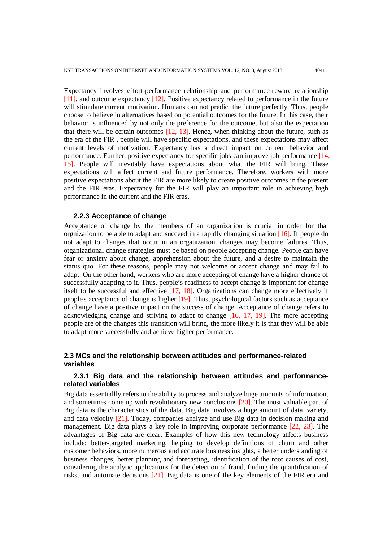Expectancy involves effort-performance relationship and performance-reward relationship [11], and outcome expectancy [12]. Positive expectancy related to performance in the future will stimulate current motivation. Humans can not predict the future perfectly. Thus, people choose to believe in alternatives based on potential outcomes for the future. In this case, their behavior is influenced by not only the preference for the outcome, but also the expectation that there will be certain outcomes [12, 13]. Hence, when thinking about the future, such as the era of the FIR , people will have specific expectations. and these expectations may affect current levels of motivation. Expectancy has a direct impact on current behavior and performance. Further, positive expectancy for specific jobs can improve job performance [14, 15]. People will inevitably have expectations about what the FIR will bring. These expectations will affect current and future performance. Therefore, workers with more positive expectations about the FIR are more likely to create positive outcomes in the present and the FIR eras. Expectancy for the FIR will play an important role in achieving high performance in the current and the FIR eras.

#### **2.2.3 Acceptance of change**

Acceptance of change by the members of an organization is crucial in order for that orgnization to be able to adapt and succeed in a rapidly changing situation [16]. If people do not adapt to changes that occur in an organization, changes may become failures. Thus, otganizational change strategies must be based on people accepting change. People can have fear or anxiety about change, apprehension about the future, and a desire to maintain the status quo. For these reasons, people may not welcome or accept change and may fail to adapt. On the other hand, workers who are more accepting of change have a higher chance of successfully adapting to it. Thus, people's readiness to accept change is important for change itself to be successful and effective [17, 18]. Organizations can change more effectively if people's acceptance of change is higher [19]. Thus, psychological factors such as acceptance of change have a positive impact on the success of change. Acceptance of change refers to acknowledging change and striving to adapt to change [16, 17, 19]. The more accepting people are of the changes this transition will bring, the more likely it is that they will be able to adapt more successfully and achieve higher performance.

## **2.3 MCs and the relationship between attitudes and performance-related variables**

# **2.3.1 Big data and the relationship between attitudes and performancerelated variables**

Big data essentiallly refers to the ability to process and analyze huge amounts of information, and sometimes come up with revolutionary new conclusions [20]. The most valuable part of Big data is the characteristics of the data. Big data involves a huge amount of data, variety, and data velocity [21]. Today, companies analyze and use Big data in decision making and management. Big data plays a key role in improving corporate performance [22, 23]. The advantages of Big data are clear. Examples of how this new technology affects business include: better-targeted marketing, helping to develop definitions of churn and other customer behaviors, more numerous and accurate business insights, a better understanding of business changes, better planning and forecasting, identification of the root causes of cost, considering the analytic applications for the detection of fraud, finding the quantification of risks, and automate decisions [21]. Big data is one of the key elements of the FIR era and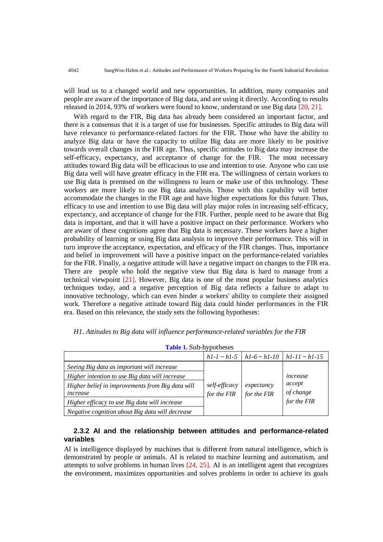will lead us to a changed world and new opportunities. In addition, many companies and people are aware of the importance of Big data, and are using it directly. According to results released in 2014, 93% of workers were found to know, understand or use Big data [20, 21].

With regard to the FIR, Big data has already been considered an important factor, and there is a consensus that it is a target of use for businesses. Specific attitudes to Big data will have relevance to performance-related factors for the FIR. Those who have the ability to analyze Big data or have the capacity to utilize Big data are more likely to be positive towards overall changes in the FIR age. Thus, specific attitudes to Big data may increase the self-efficacy, expectancy, and acceptance of change for the FIR. The most necessary attitudes toward Big data will be efficacious to use and intention to use. Anyone who can use Big data well will have greater efficacy in the FIR era. The willingness of certain workers to use Big data is premised on the willingness to learn or make use of this technology. These workers are more likely to use Big data analysis. Those with this capability will better accommodate the changes in the FIR age and have higher expectations for this future. Thus, efficacy to use and intention to use Big data will play major roles in increasing self-efficacy, expectancy, and acceptance of change for the FIR. Further, people need to be aware that Big data is important, and that it will have a positive impact on their performance. Workers who are aware of these cognitions agree that Big data is necessary. These workers have a higher probability of learning or using Big data analysis to improve their performance. This will in turn improve the acceptance, expectation, and efficacy of the FIR changes. Thus, importance and belief in improvement will have a positive impact on the performance-related variables for the FIR. Finally, a negative attitude will have a negative impact on changes to the FIR era. There are people who hold the negative view that Big data is hard to manage from a technical viewpoint [21]. However, Big data is one of the most popular business analytics techniques today, and a negative perception of Big data reflects a failure to adapt to innovative technology, which can even hinder a workers' ability to complete their assigned work. Therefore a negative attitude toward Big data could hinder performances in the FIR era. Based on this relevance, the study sets the following hypotheses:

| <b>Table 1. Sub-hypotheses</b>                               |                              |                           |                                                             |  |  |  |  |
|--------------------------------------------------------------|------------------------------|---------------------------|-------------------------------------------------------------|--|--|--|--|
|                                                              |                              |                           | $hl-l \sim hl-5 \mid hl-6 \sim hl-10 \mid hl-11 \sim hl-15$ |  |  |  |  |
| Seeing Big data as important will increase                   |                              |                           |                                                             |  |  |  |  |
| Higher intention to use Big data will increase               | self-efficacy<br>for the FIR |                           | increase                                                    |  |  |  |  |
| Higher belief in improvements from Big data will<br>increase |                              | expectancy<br>for the FIR | accept<br>of change                                         |  |  |  |  |
| Higher efficacy to use Big data will increase                |                              |                           | for the FIR                                                 |  |  |  |  |
| Negative cognition about Big data will decrease              |                              |                           |                                                             |  |  |  |  |

*H1. Attitudes to Big data will influence performance-related variables for the FIR*

**2.3.2 AI and the relationship between attitudes and performance-related variables**

AI is intelligence displayed by machines that is different from natural intelligence, which is demonstrated by people or animals. AI is related to machine learning and automatism, and attempts to solve problems in human lives [24, 25]. AI is an intelligent agent that recognizes the environment, maximizes opportunities and solves problems in order to achieve its goals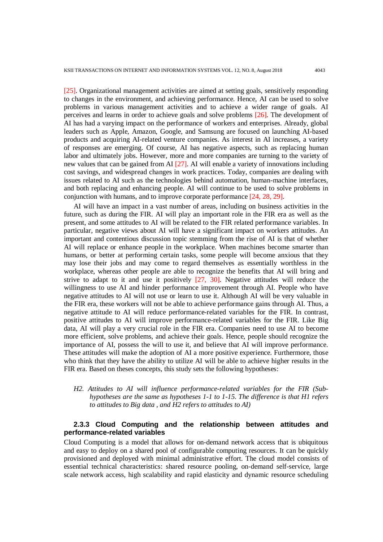[25]. Organizational management activities are aimed at setting goals, sensitively responding to changes in the environment, and achieving performance. Hence, AI can be used to solve problems in various management activities and to achieve a wider range of goals. AI perceives and learns in order to achieve goals and solve problems [26]. The development of AI has had a varying impact on the performance of workers and enterprises. Already, global leaders such as Apple, Amazon, Google, and Samsung are focused on launching AI-based products and acquiring AI-related venture companies. As interest in AI increases, a variety of responses are emerging. Of course, AI has negative aspects, such as replacing human labor and ultimately jobs. However, more and more companies are turning to the variety of new values that can be gained from AI [27]. AI will enable a variety of innovations including cost savings, and widespread changes in work practices. Today, companies are dealing with issues related to AI such as the technologies behind automation, human-machine interfaces, and both replacing and enhancing people. AI will continue to be used to solve problems in conjunction with humans, and to improve corporate performance [24, 28, 29].

AI will have an impact in a vast number of areas, including on business activities in the future, such as during the FIR. AI will play an important role in the FIR era as well as the present, and some attitudes to AI will be related to the FIR related performance variables. In particular, negative views about AI will have a significant impact on workers attitudes. An important and contentious discussion topic stemming from the rise of AI is that of whether AI will replace or enhance people in the workplace. When machines become smarter than humans, or better at performing certain tasks, some people will become anxious that they may lose their jobs and may come to regard themselves as essentially worthless in the workplace, whereas other people are able to recognize the benefits that AI will bring and strive to adapt to it and use it positively [27, 30]. Negative attitudes will reduce the willingness to use AI and hinder performance improvement through AI. People who have negative attitudes to AI will not use or learn to use it. Although AI will be very valuable in the FIR era, these workers will not be able to achieve performance gains through AI. Thus, a negative attitude to AI will reduce performance-related variables for the FIR. In contrast, positive attitudes to AI will improve performance-related variables for the FIR. Like Big data, AI will play a very crucial role in the FIR era. Companies need to use AI to become more efficient, solve problems, and achieve their goals. Hence, people should recognize the importance of AI, possess the will to use it, and believe that AI will improve performance. These attitudes will make the adoption of AI a more positive experience. Furthermore, those who think that they have the ability to utilize AI will be able to achieve higher results in the FIR era. Based on theses concepts, this study sets the following hypotheses:

# *H2. Attitudes to AI will influence performance-related variables for the FIR (Subhypotheses are the same as hypotheses 1-1 to 1-15. The difference is that H1 refers to attitudes to Big data , and H2 refers to attitudes to AI)*

## **2.3.3 Cloud Computing and the relationship between attitudes and performance-related variables**

Cloud Computing is a model that allows for on-demand network access that is ubiquitous and easy to deploy on a shared pool of configurable computing resources. It can be quickly provisioned and deployed with minimal administrative effort. The cloud model consists of essential technical characteristics: shared resource pooling, on-demand self-service, large scale network access, high scalability and rapid elasticity and dynamic resource scheduling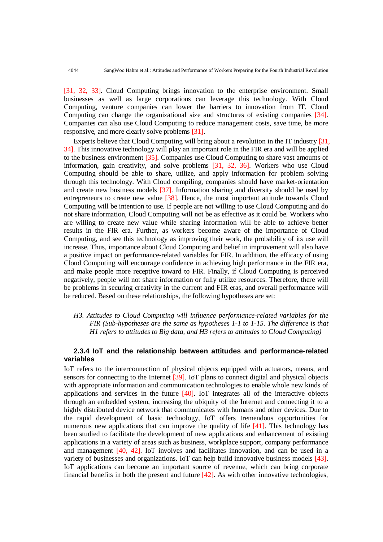[31, 32, 33]. Cloud Computing brings innovation to the enterprise environment. Small businesses as well as large corporations can leverage this technology. With Cloud Computing, venture companies can lower the barriers to innovation from IT. Cloud Computing can change the organizational size and structures of existing companies [34]. Companies can also use Cloud Computing to reduce management costs, save time, be more responsive, and more clearly solve problems [31].

Experts believe that Cloud Computing will bring about a revolution in the IT industry [31, 34]. This innovative technology will play an important role in the FIR era and will be applied to the business environment [35]. Companies use Cloud Computing to share vast amounts of information, gain creativity, and solve problems [31, 32, 36]. Workers who use Cloud Computing should be able to share, utilize, and apply information for problem solving through this technology. With Cloud compiling, companies should have market-orientation and create new business models [37]. Information sharing and diversity should be used by entrepreneurs to create new value [38]. Hence, the most important attitude towards Cloud Computing will be intention to use. If people are not willing to use Cloud Computing and do not share information, Cloud Computing will not be as effective as it could be. Workers who are willing to create new value while sharing information will be able to achieve better results in the FIR era. Further, as workers become aware of the importance of Cloud Computing, and see this technology as improving their work, the probability of its use will increase. Thus, importance about Cloud Computing and belief in improvement will also have a positive impact on performance-related variables for FIR. In addition, the efficacy of using Cloud Computing will encourage confidence in achieving high performance in the FIR era, and make people more receptive toward to FIR. Finally, if Cloud Computing is perceived negatively, people will not share information or fully utilize resources. Therefore, there will be problems in securing creativity in the current and FIR eras, and overall performance will be reduced. Based on these relationships, the following hypotheses are set:

*H3. Attitudes to Cloud Computing will influence performance-related variables for the FIR (Sub-hypotheses are the same as hypotheses 1-1 to 1-15. The difference is that H1 refers to attitudes to Big data, and H3 refers to attitudes to Cloud Computing)*

# **2.3.4 IoT and the relationship between attitudes and performance-related variables**

IoT refers to the interconnection of physical objects equipped with actuators, means, and sensors for connecting to the Internet [39]. IoT plans to connect digital and physical objects with appropriate information and communication technologies to enable whole new kinds of applications and services in the future [40]. IoT integrates all of the interactive objects through an embedded system, increasing the ubiquity of the Internet and connecting it to a highly distributed device network that communicates with humans and other devices. Due to the rapid development of basic technology, IoT offers tremendous opportunities for numerous new applications that can improve the quality of life [41]. This technology has been studied to facilitate the development of new applications and enhancement of existing applications in a variety of areas such as business, workplace support, company performance and management [40, 42]. IoT involves and facilitates innovation, and can be used in a variety of businesses and organizations. IoT can help build innovative business models [43]. IoT applications can become an important source of revenue, which can bring corporate financial benefits in both the present and future [42]. As with other innovative technologies,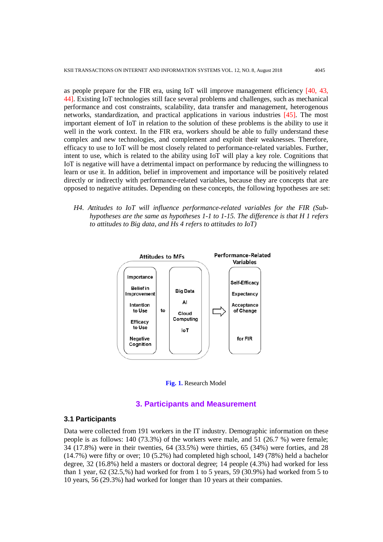as people prepare for the FIR era, using IoT will improve management efficiency [40, 43, 44]. Existing IoT technologies still face several problems and challenges, such as mechanical performance and cost constraints, scalability, data transfer and management, heterogenous networks, standardization, and practical applications in various industries [45]. The most important element of IoT in relation to the solution of these problems is the ability to use it well in the work context. In the FIR era, workers should be able to fully understand these complex and new technologies, and complement and exploit their weaknesses. Therefore, efficacy to use to IoT will be most closely related to performance-related variables. Further, intent to use, which is related to the ability using IoT will play a key role. Cognitions that IoT is negative will have a detrimental impact on performance by reducing the willingness to learn or use it. In addition, belief in improvement and importance will be positively related directly or indirectly with performance-related variables, because they are concepts that are opposed to negative attitudes. Depending on these concepts, the following hypotheses are set:

*H4. Attitudes to IoT will influence performance-related variables for the FIR (Subhypotheses are the same as hypotheses 1-1 to 1-15. The difference is that H 1 refers to attitudes to Big data, and Hs 4 refers to attitudes to IoT)*





#### **3. Participants and Measurement**

# **3.1 Participants**

Data were collected from 191 workers in the IT industry. Demographic information on these people is as follows: 140 (73.3%) of the workers were male, and 51 (26.7 %) were female; 34 (17.8%) were in their twenties, 64 (33.5%) were thirties, 65 (34%) were forties, and 28 (14.7%) were fifty or over; 10 (5.2%) had completed high school, 149 (78%) held a bachelor degree, 32 (16.8%) held a masters or doctoral degree; 14 people (4.3%) had worked for less than 1 year, 62 (32.5,%) had worked for from 1 to 5 years, 59 (30.9%) had worked from 5 to 10 years, 56 (29.3%) had worked for longer than 10 years at their companies.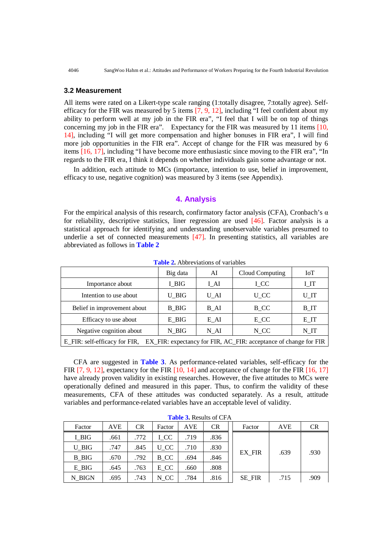#### **3.2 Measurement**

All items were rated on a Likert-type scale ranging (1:totally disagree, 7:totally agree). Selfefficacy for the FIR was measured by 5 items [7, 9, 12], including "I feel confident about my ability to perform well at my job in the FIR era", "I feel that I will be on top of things concerning my job in the FIR era". Expectancy for the FIR was measured by 11 items [10, 14], including "I will get more compensation and higher bonuses in FIR era", I will find more job opportunities in the FIR era". Accept of change for the FIR was measured by 6 items [16, 17], including "I have become more enthusiastic since moving to the FIR era", "In regards to the FIR era, I think it depends on whether individuals gain some advantage or not.

In addition, each attitude to MCs (importance, intention to use, belief in improvement, efficacy to use, negative cognition) was measured by 3 items (see Appendix).

## **4. Analysis**

For the empirical analysis of this research, confirmatory factor analysis (CFA), Cronbach's  $\alpha$ for reliability, descriptive statistics, liner regression are used [46]. Factor analysis is a statistical approach for identifying and understanding unobservable variables presumed to underlie a set of connected measurements [47]. In presenting statistics, all variables are abbreviated as follows in **Table 2**

|                                                                                                   | Big data | AI   | Cloud Computing | IoT      |  |
|---------------------------------------------------------------------------------------------------|----------|------|-----------------|----------|--|
| Importance about                                                                                  | I BIG    | I_AI | <b>LCC</b>      | I_IT     |  |
| Intention to use about                                                                            | U BIG    | U AI | U CC            | U_IT     |  |
| Belief in improvement about                                                                       | B BIG    | B AI | $B_{C}$ CC      | $B_{IT}$ |  |
| Efficacy to use about                                                                             | E BIG    | E AI | $E_{C}$         | EIT      |  |
| Negative cognition about                                                                          | $N_BIG$  | N AI | $N_{C}$ CC      | $N_I T$  |  |
| E_FIR: self-efficacy for FIR,<br>EX_FIR: expectancy for FIR, AC_FIR: acceptance of change for FIR |          |      |                 |          |  |

**Table 2.** Abbreviations of variables

CFA are suggested in **Table 3**. As performance-related variables, self-efficacy for the FIR [7, 9, 12], expectancy for the FIR [10, 14] and acceptance of change for the FIR [16, 17] have already proven validity in existing researches. However, the five attitudes to MCs were operationally defined and measured in this paper. Thus, to confirm the validity of these measurements, CFA of these attitudes was conducted separately. As a result, attitude variables and performance-related variables have an acceptable level of validity.

| Factor | <b>AVE</b> | CR   | Factor | AVE  | <b>CR</b> |  | Factor        | AVE  | <b>CR</b> |
|--------|------------|------|--------|------|-----------|--|---------------|------|-----------|
| I BIG  | .661       | .772 | I CC   | .719 | .836      |  |               |      |           |
| U BIG  | .747       | .845 | U CC   | .710 | .830      |  |               |      |           |
| B BIG  | .670       | .792 | B CC   | .694 | .846      |  | EX FIR        | .639 | .930      |
| E BIG  | .645       | .763 | E CC   | .660 | .808      |  |               |      |           |
| N BIGN | .695       | .743 | N CC   | .784 | .816      |  | <b>SE FIR</b> | .715 | .909      |

**Table 3.** Results of CFA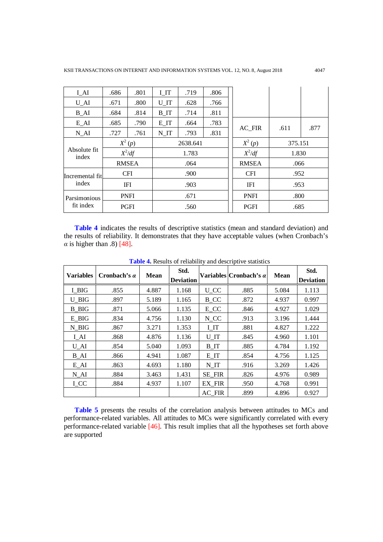| $I_{\mathcal{A}}I$       | .686 | .801         | I IT              | .719 | .806        |              |         |      |
|--------------------------|------|--------------|-------------------|------|-------------|--------------|---------|------|
| $U_AI$                   | .671 | .800         | $U$ <sub>IT</sub> | .628 | .766        |              |         |      |
| $B_{A}I$                 | .684 | .814         | $B_{IT}$          | .714 | .811        |              |         |      |
| $E_AI$                   | .685 | .790         | EIT               | .664 | .783        |              |         |      |
| $N_AI$                   | .727 | .761         | N IT              | .793 | .831        | AC_FIR       | .611    | .877 |
|                          |      | $X^2(p)$     | 2638.641          |      |             | $X^2(p)$     | 375.151 |      |
| Absolute fit<br>index    |      | $X^2/df$     | 1.783             |      |             | $X^2/df$     | 1.830   |      |
|                          |      | <b>RMSEA</b> | .064              |      |             | <b>RMSEA</b> | .066    |      |
| Incremental fit          |      | <b>CFI</b>   |                   | .900 |             | <b>CFI</b>   | .952    |      |
| index                    |      | IFI          |                   | .903 |             | <b>IFI</b>   | .953    |      |
| Parsimonious             |      | <b>PNFI</b>  |                   | .671 |             | <b>PNFI</b>  | .800    |      |
| fit index<br><b>PGFI</b> |      | .560         |                   |      | <b>PGFI</b> | .685         |         |      |

**Table 4** indicates the results of descriptive statistics (mean and standard deviation) and the results of reliability. It demonstrates that they have acceptable values (when Cronbach's  $\alpha$  is higher than .8) [48].

| <b>Variables</b>   | Cronbach's $\alpha$ | <b>Mean</b> | Std.<br><b>Deviation</b> |                   | Variables Cronbach's $\alpha$ | <b>Mean</b> | Std.<br><b>Deviation</b> |
|--------------------|---------------------|-------------|--------------------------|-------------------|-------------------------------|-------------|--------------------------|
| I BIG              | .855                | 4.887       | 1.168                    | $U_{\_}CC$        | .885                          | 5.084       | 1.113                    |
| U BIG              | .897                | 5.189       | 1.165                    | <b>B_CC</b>       | .872                          | 4.937       | 0.997                    |
| <b>B</b> BIG       | .871                | 5.066       | 1.135                    | E CC              | .846                          | 4.927       | 1.029                    |
| E BIG              | .834                | 4.756       | 1.130                    | N CC              | .913                          | 3.196       | 1.444                    |
| N BIG              | .867                | 3.271       | 1.353                    | I_IT              | .881                          | 4.827       | 1.222                    |
| $I_{\mathcal{A}}I$ | .868                | 4.876       | 1.136                    | $U$ <sub>IT</sub> | .845                          | 4.960       | 1.101                    |
| $U_AI$             | .854                | 5.040       | 1.093                    | $B_{IT}$          | .885                          | 4.784       | 1.192                    |
| B AI               | .866                | 4.941       | 1.087                    | E IT              | .854                          | 4.756       | 1.125                    |
| $E_{A}I$           | .863                | 4.693       | 1.180                    | N IT              | .916                          | 3.269       | 1.426                    |
| $N_AI$             | .884                | 3.463       | 1.431                    | SE FIR            | .826                          | 4.976       | 0.989                    |
| I CC               | .884                | 4.937       | 1.107                    | EX FIR            | .950                          | 4.768       | 0.991                    |
|                    |                     |             |                          | AC FIR            | .899                          | 4.896       | 0.927                    |

**Table 4.** Results of reliability and descriptive statistics

**Table 5** presents the results of the correlation analysis between attitudes to MCs and performance-related variables. All attitudes to MCs were significantly correlated with every performance-related variable [46]. This result implies that all the hypotheses set forth above are supported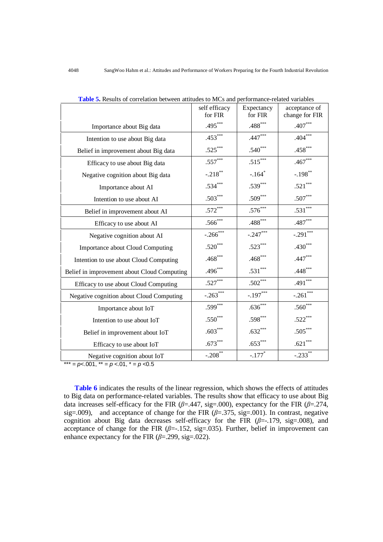|                                                  | self efficacy<br>for FIR | Expectancy<br>for FIR | acceptance of<br>change for FIR |
|--------------------------------------------------|--------------------------|-----------------------|---------------------------------|
|                                                  | $.495***$                | $.488***$             | $.407***$                       |
| Importance about Big data                        |                          |                       |                                 |
| Intention to use about Big data                  | $.453***$                | $.447***$             | $.404***$                       |
| Belief in improvement about Big data             | $.525***$                | $.540***$             | $.458***$                       |
| Efficacy to use about Big data                   | $.557***$                | $.515***$             | $.467***$                       |
| Negative cognition about Big data                | $-.218***$               | $-.164$ <sup>*</sup>  | $-.198**$                       |
| Importance about AI                              | $.534***$                | $.539***$             | $.521***$                       |
| Intention to use about AI                        | $.503***$                | $.509***$             | $.507***$                       |
| Belief in improvement about AI                   | $.572***$                | $.576***$             | $.531***$                       |
| Efficacy to use about AI                         | $.566***$                | $.488***$             | $.487***$                       |
| Negative cognition about AI                      | $-.266$ ***              | $-.247***$            | $-.291***$                      |
| Importance about Cloud Computing                 | $.520***$                | $.523***$             | $.430***$                       |
| Intention to use about Cloud Computing           | $.468***$                | $.468***$             | $.447***$                       |
| Belief in improvement about Cloud Computing      | $.496***$                | $.531***$             | $.448***$                       |
| Efficacy to use about Cloud Computing            | $.527***$                | $.502***$             | .491***                         |
| Negative cognition about Cloud Computing         | $-.263***$               | $-.197***$            | $-.261***$                      |
| Importance about IoT                             | $.599***$                | $.636***$             | $.560***$                       |
| Intention to use about IoT                       | $.550***$                | $.598***$             | $.522***$                       |
| Belief in improvement about IoT                  | $.603***$                | $.632***$             | $.505***$                       |
| Efficacy to use about IoT                        | $.673***$                | $.653***$             | $.621***$                       |
| Negative cognition about IoT                     | $-.208$ **               | $-.177*$              | $-.233$ **                      |
| *** = $p$ < 0.01, ** = $p$ < 0.01, * = $p$ < 0.5 |                          |                       |                                 |

**Table 5.** Results of correlation between attitudes to MCs and performance-related variables

**Table 6** indicates the results of the linear regression, which shows the effects of attitudes to Big data on performance-related variables. The results show that efficacy to use about Big data increases self-efficacy for the FIR ( $\beta$ =.447, sig=.000), expectancy for the FIR ( $\beta$ =.274, sig=.009), and acceptance of change for the FIR  $(\beta = .375, \text{ sig} = .001)$ . In contrast, negative cognition about Big data decreases self-efficacy for the FIR  $(\beta = -179, \text{sig} = 008)$ , and acceptance of change for the FIR  $(\beta = -152, \text{sig} = 0.035)$ . Further, belief in improvement can enhance expectancy for the FIR  $(\beta = .299, \text{sig} = .022)$ .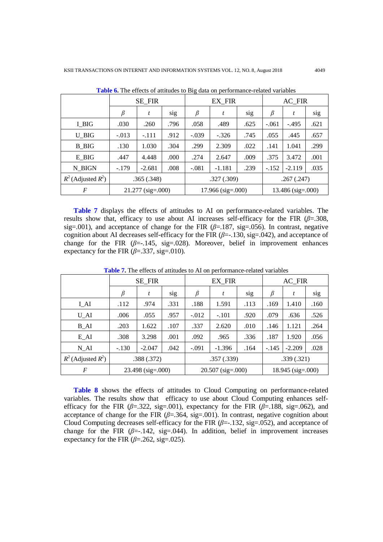|                         |            |                     |      | ີ                   |               |      |                     |          |      |
|-------------------------|------------|---------------------|------|---------------------|---------------|------|---------------------|----------|------|
|                         |            | SE_FIR              |      |                     | <b>EX FIR</b> |      | AC_FIR              |          |      |
|                         | β          | t                   | sig  | $\beta$             | t             | sig  | β                   | t        | sig  |
| I BIG                   | .030       | .260                | .796 | .058                | .489          | .625 | $-.061$             | $-.495$  | .621 |
| U BIG                   | $-.013$    | $-.111$             | .912 | $-.039$             | $-.326$       | .745 | .055                | .445     | .657 |
| <b>B</b> BIG            | .130       | 1.030               | .304 | .299                | 2.309         | .022 | .141                | 1.041    | .299 |
| E BIG                   | .447       | 4.448               | .000 | .274                | 2.647         | .009 | .375                | 3.472    | .001 |
| N BIGN                  | $-.179$    | $-2.681$            | .008 | $-.081$             | $-1.181$      | .239 | $-.152$             | $-2.119$ | .035 |
| $R^2$ (Adjusted $R^2$ ) | .365(.348) |                     |      | .327 (.309)         |               |      | .267(.247)          |          |      |
| $\boldsymbol{F}$        |            | $21.277$ (sig=.000) |      | $17.966$ (sig=.000) |               |      | $13.486$ (sig=.000) |          |      |

**Table 6.** The effects of attitudes to Big data on performance-related variables

**Table 7** displays the effects of attitudes to AI on performance-related variables. The results show that, efficacy to use about AI increases self-efficacy for the FIR  $(\beta = 0.308,$ sig=.001), and acceptance of change for the FIR  $(\beta=187, \text{sig}=0.056)$ . In contrast, negative cognition about AI decreases self-efficacy for the FIR (*β*=-.130, sig=.042), and acceptance of change for the FIR  $(\beta = .145, \text{ sig} = .028)$ . Moreover, belief in improvement enhances expectancy for the FIR  $(\beta = .337, \text{sig} = .010)$ .

|                         | SE FIR              |          |      | EX FIR                  |          |      | AC FIR            |          |      |
|-------------------------|---------------------|----------|------|-------------------------|----------|------|-------------------|----------|------|
|                         | $\beta$             | t        | sig  | $\beta$                 | t        | sig  | β                 | t        | sig  |
| I AI                    | .112                | .974     | .331 | .188                    | 1.591    | .113 | .169              | 1.410    | .160 |
| U AI                    | .006                | .055     | .957 | $-.012$                 | $-.101$  | .920 | .079              | .636     | .526 |
| $B_{\perp}AI$           | .203                | 1.622    | .107 | .337                    | 2.620    | .010 | .146              | 1.121    | .264 |
| E AI                    | .308                | 3.298    | .001 | .092                    | .965     | .336 | .187              | 1.920    | .056 |
| $N_AI$                  | $-.130$             | $-2.047$ | .042 | $-.091$                 | $-1.396$ | .164 | $-.145$           | $-2.209$ | .028 |
| $R^2$ (Adjusted $R^2$ ) | .388(.372)          |          |      | .357(.339)              |          |      | .339(.321)        |          |      |
| $\boldsymbol{F}$        | $23.498$ (sig=.000) |          |      | $20.507$ (sig= $.000$ ) |          |      | 18.945 (sig=.000) |          |      |

**Table 7.** The effects of attitudes to AI on performance-related variables

**Table 8** shows the effects of attitudes to Cloud Computing on performance-related variables. The results show that efficacy to use about Cloud Computing enhances selfefficacy for the FIR ( $\beta$ =.322, sig=.001), expectancy for the FIR ( $\beta$ =.188, sig=.062), and acceptance of change for the FIR  $(\beta = 364, \text{ sig} = .001)$ . In contrast, negative cognition about Cloud Computing decreases self-efficacy for the FIR (*β*=-.132, sig=.052), and acceptance of change for the FIR  $(\beta = -142, \text{ sig} = 044)$ . In addition, belief in improvement increases expectancy for the FIR  $(\beta = .262, \text{ sig} = .025)$ .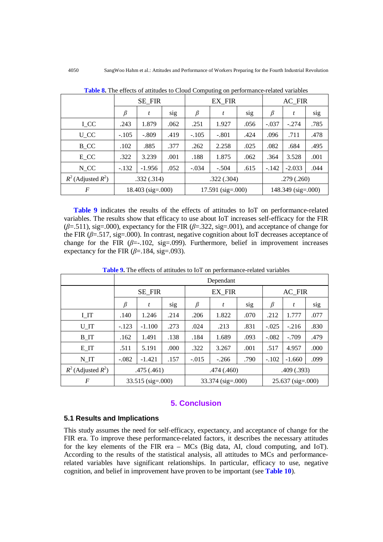|                         | SE_FIR     |                     |            |         | <b>EX FIR</b>       |            |         | AC_FIR               |      |  |
|-------------------------|------------|---------------------|------------|---------|---------------------|------------|---------|----------------------|------|--|
|                         | $\beta$    | t                   | sig        | $\beta$ | t                   | sig        | $\beta$ | t                    | sig  |  |
| I CC                    | .243       | 1.879               | .062       | .251    | 1.927               | .056       | $-.037$ | $-.274$              | .785 |  |
| U CC                    | $-.105$    | $-.809$             | .419       | $-.105$ | $-.801$             | .424       | .096    | .711                 | .478 |  |
| $B_{C}$                 | .102       | .885                | .377       | .262    | 2.258               | .025       | .082    | .684                 | .495 |  |
| $E_{C}$                 | .322       | 3.239               | .001       | .188    | 1.875               | .062       | .364    | 3.528                | .001 |  |
| N CC                    | $-.132$    | $-1.956$            | .052       | $-.034$ | $-.504$             | .615       | $-.142$ | $-2.033$             | .044 |  |
| $R^2$ (Adjusted $R^2$ ) | .332(.314) |                     | .322(.304) |         |                     | .279(.260) |         |                      |      |  |
| F                       |            | $18.403$ (sig=.000) |            |         | $17.591$ (sig=.000) |            |         | $148.349$ (sig=.000) |      |  |

**Table 8.** The effects of attitudes to Cloud Computing on performance-related variables

**Table 9** indicates the results of the effects of attitudes to IoT on performance-related variables. The results show that efficacy to use about IoT increases self-efficacy for the FIR (*β*=.511), sig=.000), expectancy for the FIR (*β*=.322, sig=.001), and acceptance of change for the FIR  $(\beta = 517, \text{sig} = 0.00)$ . In contrast, negative cognition about IoT decreases acceptance of change for the FIR  $(\beta = .102, \text{sig} = .099)$ . Furthermore, belief in improvement increases expectancy for the FIR  $(\beta = 184, \text{ sig} = .093)$ .

|                         |            | Dependant         |      |                     |         |      |                     |          |      |  |
|-------------------------|------------|-------------------|------|---------------------|---------|------|---------------------|----------|------|--|
|                         | SE_FIR     |                   |      |                     | EX FIR  |      |                     | AC_FIR   |      |  |
|                         | $\beta$    | t                 | sig  | $\beta$             | t       | sig  | β                   | t        | sig  |  |
| I IT                    | .140       | 1.246             | .214 | .206                | 1.822   | .070 | .212                | 1.777    | .077 |  |
| U IT                    | $-.123$    | $-1.100$          | .273 | .024                | .213    | .831 | $-.025$             | $-.216$  | .830 |  |
| $B_{IT}$                | .162       | 1.491             | .138 | .184                | 1.689   | .093 | $-.082$             | $-.709$  | .479 |  |
| EIT                     | .511       | 5.191             | .000 | .322                | 3.267   | .001 | .517                | 4.957    | .000 |  |
| N IT                    | $-.082$    | $-1.421$          | .157 | $-.015$             | $-.266$ | .790 | $-.102$             | $-1.660$ | .099 |  |
| $R^2$ (Adjusted $R^2$ ) | .475(.461) |                   |      | .474 (.460)         |         |      | .409(.393)          |          |      |  |
| $\overline{F}$          |            | 33.515 (sig=.000) |      | $33.374$ (sig=.000) |         |      | $25.637$ (sig=.000) |          |      |  |

**Table 9.** The effects of attitudes to IoT on performance-related variables

## **5. Conclusion**

## **5.1 Results and Implications**

This study assumes the need for self-efficacy, expectancy, and acceptance of change for the FIR era. To improve these performance-related factors, it describes the necessary attitudes for the key elements of the FIR era – MCs (Big data, AI, cloud computing, and IoT). According to the results of the statistical analysis, all attitudes to MCs and performancerelated variables have significant relationships. In particular, efficacy to use, negative cognition, and belief in improvement have proven to be important (see **Table 10**).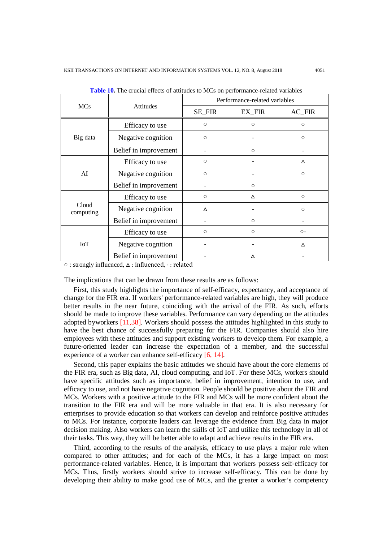|                    |                       |         | Performance-related variables |                     |
|--------------------|-----------------------|---------|-------------------------------|---------------------|
| <b>MCs</b>         | <b>Attitudes</b>      | SE_FIR  | EX_FIR                        | $AC_FIR$            |
|                    | Efficacy to use       | $\circ$ | $\circ$                       | $\circ$             |
| Big data           | Negative cognition    | $\circ$ |                               | $\circ$             |
|                    | Belief in improvement |         | $\circ$                       |                     |
|                    | Efficacy to use       | $\circ$ |                               | Δ                   |
| AI                 | Negative cognition    | $\circ$ |                               | $\circlearrowright$ |
|                    | Belief in improvement |         | $\circ$                       |                     |
|                    | Efficacy to use       | $\circ$ | Δ                             | $\circ$             |
| Cloud<br>computing | Negative cognition    | Δ       |                               | $\circ$             |
|                    | Belief in improvement |         | $\circ$                       |                     |
|                    | Efficacy to use       | $\circ$ | $\circ$                       | $O -$               |
| <b>IoT</b>         | Negative cognition    |         |                               | Δ                   |
|                    | Belief in improvement |         | Δ                             |                     |

**Table 10.** The crucial effects of attitudes to MCs on performance-related variables

○ : strongly influenced, △ : influenced, - : related

The implications that can be drawn from these results are as follows:

First, this study highlights the importance of self-efficacy, expectancy, and acceptance of change for the FIR era. If workers' performance-related variables are high, they will produce better results in the near future, coinciding with the arrival of the FIR. As such, efforts should be made to improve these variables. Performance can vary depending on the attitudes adopted byworkers [11,38]. Workers should possess the attitudes highlighted in this study to have the best chance of successfully preparing for the FIR. Companies should also hire employees with these attitudes and support existing workers to develop them. For example, a future-oriented leader can increase the expectation of a member, and the successful experience of a worker can enhance self-efficacy [6, 14].

Second, this paper explains the basic attitudes we should have about the core elements of the FIR era, such as Big data, AI, cloud computing, and IoT. For these MCs, workers should have specific attitudes such as importance, belief in improvement, intention to use, and efficacy to use, and not have negative cognition. People should be positive about the FIR and MCs. Workers with a positive attitude to the FIR and MCs will be more confident about the transition to the FIR era and will be more valuable in that era. It is also necessary for enterprises to provide education so that workers can develop and reinforce positive attitudes to MCs. For instance, corporate leaders can leverage the evidence from Big data in major decision making. Also workers can learn the skills of IoT and utilize this technology in all of their tasks. This way, they will be better able to adapt and achieve results in the FIR era.

Third, according to the results of the analysis, efficacy to use plays a major role when compared to other attitudes; and for each of the MCs, it has a large impact on most performance-related variables. Hence, it is important that workers possess self-efficacy for MCs. Thus, firstly workers should strive to increase self-efficacy. This can be done by developing their ability to make good use of MCs, and the greater a worker's competency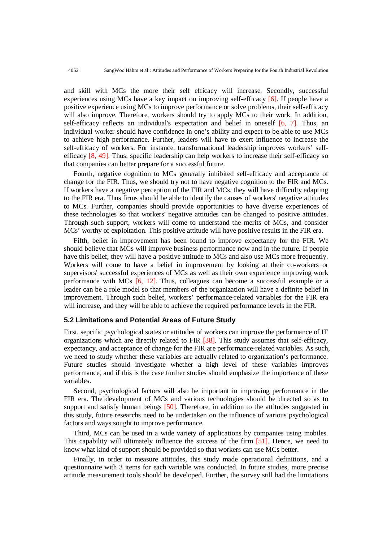and skill with MCs the more their self efficacy will increase. Secondly, successful experiences using MCs have a key impact on improving self-efficacy [6]. If people have a positive experience using MCs to improve performance or solve problems, their self-efficacy will also improve. Therefore, workers should try to apply MCs to their work. In addition, self-efficacy reflects an individual's expectation and belief in oneself [6, 7]. Thus, an individual worker should have confidence in one's ability and expect to be able to use MCs to achieve high performance. Further, leaders will have to exert influence to increase the self-efficacy of workers. For instance, transformational leadership improves workers' selfefficacy [8, 49]. Thus, specific leadership can help workers to increase their self-efficacy so that companies can better prepare for a successful future.

Fourth, negative cognition to MCs generally inhibited self-efficacy and acceptance of change for the FIR. Thus, we should try not to have negative cognition to the FIR and MCs. If workers have a negative perception of the FIR and MCs, they will have difficulty adapting to the FIR era. Thus firms should be able to identify the causes of workers' negative attitudes to MCs. Further, companies should provide opportunities to have diverse experiences of these technologies so that workers' negative attitudes can be changed to positive attitudes. Through such support, workers will come to understand the merits of MCs, and consider MCs' worthy of exploitation. This positive attitude will have positive results in the FIR era.

Fifth, belief in improvement has been found to improve expectancy for the FIR. We should believe that MCs will improve business performance now and in the future. If people have this belief, they will have a positive attitude to MCs and also use MCs more frequently. Workers will come to have a belief in improvement by looking at their co-workers or supervisors' successful experiences of MCs as well as their own experience improving work performance with MCs [6, 12]. Thus, colleagues can become a successful example or a leader can be a role model so that members of the organization will have a definite belief in improvement. Through such belief, workers' performance-related variables for the FIR era will increase, and they will be able to achieve the required performance levels in the FIR.

## **5.2 Limitations and Potential Areas of Future Study**

First, sepcific psychological states or attitudes of workers can improve the performance of IT organizations which are directly related to FIR [38]. This study assumes that self-efficacy, expectancy, and acceptance of change for the FIR are performance-related variables. As such, we need to study whether these variables are actually related to organization's performance. Future studies should investigate whether a high level of these variables improves performance, and if this is the case further studies should emphasize the importance of these variables.

Second, psychological factors will also be important in improving performance in the FIR era. The development of MCs and various technologies should be directed so as to support and satisfy human beings [50]. Therefore, in addition to the attitudes suggested in this study, future researchs need to be undertaken on the influence of various psychological factors and ways sought to improve performance.

Third, MCs can be used in a wide variety of applications by companies using mobiles. This capability will ultimately influence the success of the firm [51]. Hence, we need to know what kind of support should be provided so that workers can use MCs better.

Finally, in order to measure attitudes, this study made operational definitions, and a questionnaire with 3 items for each variable was conducted. In future studies, more precise attitude measurement tools should be developed. Further, the survey still had the limitations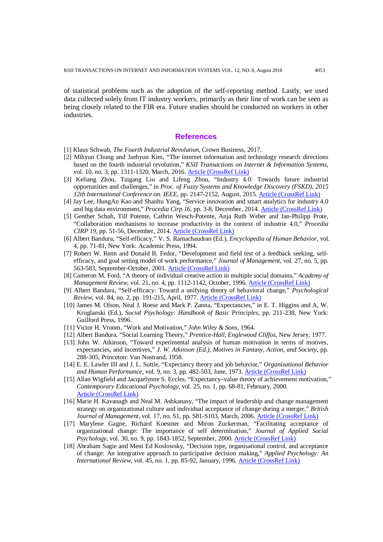of statistical problems such as the adoption of the self-reporting method. Lastly, we used data collected solely from IT industry workers, primarily as their line of work can be seen as being closely related to the FIR era. Future studies should be conducted on workers in other industries.

#### **References**

- [1] Klaus Schwab, *The Fourth Industrial Revolution*, Crown Business, 2017.
- [2] Mihyun Chung and Jaehyun Kim, "The internet information and technology research directions based on the fourth industrial revolution," *KSII Transactions on Internet & Information Systems*, vol. 10, no. 3, pp. 1311-1320, March, 2016. [Article \(CrossRef Link\)](https://doi.org/10.3837/tiis.2016.03.020)
- [3] Keliang Zhou, Taigang Liu and Lifeng Zhou, "Industry 4.0: Towards future industrial opportunities and challenges," in *Proc. of Fuzzy Systems and Knowledge Discovery (FSKD), 2015 12th International Conference on. IEEE*, pp. 2147-2152, August, 2015. [Article \(CrossRef Link\)](https://doi.org/10.1109/FSKD.2015.7382284)
- [4] Jay Lee, HungAn Kao and Shanhu Yang, "Service innovation and smart analytics for industry 4.0 and big data environment," *Procedia Cirp 16*, pp. 3-8, December, 2014. [Article \(CrossRef Link\)](https://doi.org/10.1016/j.procir.2014.02.001)
- [5] Genther Schuh, Till Potente, Cathrin Wesch-Potente, Anja Ruth Weber and Jan-Philipp Prote, "Collaboration mechanisms to increase productivity in the context of industrie 4.0," *Procedia CIRP 19*, pp. 51-56, December, 2014[. Article \(CrossRef Link\)](https://doi.org/10.1016/j.procir.2014.05.016)
- [6] Albert Bandura, "Self-efficacy," V. S. Ramachaudran (Ed.), *Encyclopedia of Human Behavior*, vol. 4, pp. 71-81, New York: Academic Press, 1994.
- [7] Robert W. Renn and Donald B. Fedor, "Development and field test of a feedback seeking, selfefficacy, and goal setting model of work performance," *Journal of Management*, vol. 27, no. 5, pp. 563-583, September-October, 2001. [Article \(CrossRef Link\)](https://doi.org/10.1016/S0149-2063(01)00108-8)
- [8] Cameron M. Ford, "A theory of individual creative action in multiple social domains," *Academy of Management Review, vol. 21, no. 4, pp. 1112-1142, October, 1996. [Article \(CrossRef Link\)](http://dx.doi.org/10.5465/AMR.1996.9704071865)*
- [9] Albert Bandura, "Self-efficacy: Toward a unifying theory of behavioral change," *Psychological Review*, vol. 84, no. 2, pp. 191-215, April, 1977[. Article \(CrossRef Link\)](http://dx.doi.org/10.1037/0033-295X.84.2.191)
- [10] James M. Olson, Neal J. Roese and Mark P. Zanna, "Expectancies," in E. T. Higgins and A, W. Kruglanski (Ed.), *Social Psychology: Handbook of Basic Principles*, pp. 211-238, New York: Guilford Press, 1996.
- [11] Victor H. Vroom, "Work and Motivation," *John Wiley & Sons*, 1964.
- [12] Albert Bandura, "Social Learning Theory," *Prentice-Hall, Englewood Cliffos*, New Jersey, 1977.
- [13] John W. Atkinson, "Toward experimental analysis of human motivation in terms of motives, expectancies, and incentives," *J. W. Atkinson (Ed.)*, *Motives in Fantasy, Action, and Society*, pp. 288-305, Princeton: Van Nostrand, 1958.
- [14] E. E. Lawler III and J. L. Suttle, "Expectancy theory and job behavior," *Organizational Behavior and Human Performance*, vol. 9, no. 3, pp. 482-503, June, 1973. [Article \(CrossRef Link\)](https://doi.org/10.1016/0030-5073(73)90066-4)
- [15] Allan Wigfield and Jacquelynne S. Eccles, "Expectancy–value theory of achievement motivation," *Contemporary Educational Psychology*, vol. 25, no. 1, pp. 68-81, February, 2000. [Article \(CrossRef Link\)](http://dx.doi.org/doi:10.1006/ceps.1999.1015)
- [16] Marie H. Kavanagh and Neal M. Ashkanasy, "The impact of leadership and change management strategy on organizational culture and individual acceptance of change during a merger," *British*  Journal of Management, vol. 17, no. S1, pp. S81-S103, March, 2006. [Article \(CrossRef Link\)](http://dx.doi.org/10.1111/j.1467-8551.2006.00480.x)
- [17] Marylene Gagne, Richard Koestner and Miron Zuckerman, "Facilitating acceptance of organizational change: The importance of self determination," *Journal of Applied Social Psychology*, vol. 30, no. 9, pp. 1843-1852, September, 2000. [Article \(CrossRef Link\)](http://dx.doi.org/10.1111/j.1559-1816.2000.tb02471.x)
- [18] Abraham Sagie and Meni Ed Koslowsky, "Decision type, organisational control, and acceptance of change: An integrative approach to participative decision making," *Applied Psychology: An International Review, vol.* 45, no. 1, pp. 85-92, January, 1996. [Article \(CrossRef Link\)](http://dx.doi.org/10.1111/j.1464-0597.1996.tb00850.x)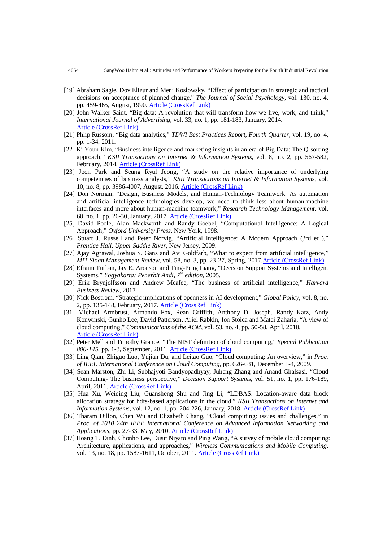- [19] Abraham Sagie, Dov Elizur and Meni Koslowsky, "Effect of participation in strategic and tactical decisions on acceptance of planned change," *The Journal of Social Psychology*, vol. 130, no. 4, pp. 459-465, August, 1990. **Article (CrossRef Link)**
- [20] John Walker Saint, "Big data: A revolution that will transform how we live, work, and think," *International Journal of Advertising*, vol. 33, no. 1, pp. 181-183, January, 2014. [Article \(CrossRef Link\)](https://doi.org/10.2501/IJA-33-1-181-183)
- [21] Phlip Russom, "Big data analytics," *TDWI Best Practices Report, Fourth Quarter*, vol. 19, no. 4, pp. 1-34, 2011.
- [22] Ki Youn Kim, "Business intelligence and marketing insights in an era of Big Data: The Q-sorting approach," *KSII Transactions on Internet & Information Systems*, vol. 8, no. 2, pp. 567-582, February, 2014[. Article \(CrossRef Link\)](http://dx.doi.org/10.3837/tiis.2014.02.014)
- [23] Joon Park and Seung Ryul Jeong, "A study on the relative importance of underlying competencies of business analysts," *KSII Transactions on Internet & Information Systems*, vol. 10, no. 8, pp. 3986-4007, August, 2016. [Article \(CrossRef Link\)](http://dx.doi.org/10.3837/tiis.2016.08.031)
- [24] Don Norman, "Design, Business Models, and Human-Technology Teamwork: As automation and artificial intelligence technologies develop, we need to think less about human-machine interfaces and more about human-machine teamwork," *Research Technology Management*, vol. 60, no. 1, pp. 26-30, January, 2017[. Article \(CrossRef Link\)](https://doi.org/10.1080/08956308.2017.1255051)
- [25] David Poole, Alan Mackworth and Randy Goebel, "Computational Intelligence: A Logical Approach," *Oxford University Press*, New York, 1998.
- [26] Stuart J. Russell and Peter Norvig, "Artificial Intelligence: A Modern Approach (3rd ed.)," *Prentice Hall, Upper Saddle River*, New Jersey, 2009.
- [27] Ajay Agrawal, Joshua S. Gans and Avi Goldfarb, "What to expect from artificial intelligence," *MIT Sloan Management Review, vol.* 58, no. 3, pp. 23-27, Spring, 2017. Article (CrossRef Link)
- [28] Efraim Turban, Jay E. Aronson and Ting-Peng Liang, "Decision Support Systems and Intelligent Systems," *Yogyakarta: Penerbit Andi, 7th edition*, 2005.
- [29] Erik Brynjolfsson and Andrew Mcafee, "The business of artificial intelligence," *Harvard Business Review*, 2017.
- [30] Nick Bostrom, "Strategic implications of openness in AI development," *Global Policy*, vol. 8, no. 2, pp. 135-148, February, 2017[. Article \(CrossRef Link\)](http://dx.doi.org/10.1111/1758-5899.12403)
- [31] Michael Armbrust, Armando Fox, Rean Griffith, Anthony D. Joseph, Randy Katz, Andy Konwinski, Gunho Lee, David Patterson, Ariel Rabkin, Ion Stoica and Matei Zaharia, "A view of cloud computing," *Communications of the ACM*, vol. 53, no. 4, pp. 50-58, April, 2010. [Article \(CrossRef Link\)](http://dx.doi.org/doi:10.1145/1721654.1721672)
- [32] Peter Mell and Timothy Grance, "The NIST definition of cloud computing," *Special Publication 800-145*, pp. 1-3, September, 2011. [Article \(CrossRef Link\)](http://faculty.winthrop.edu/domanm/csci411/Handouts/NIST.pdf)
- [33] Ling Qian, Zhiguo Luo, Yujian Du, and Leitao Guo, "Cloud computing: An overview," in *Proc. of IEEE International Conference on Cloud Computing*, pp. 626-631, December 1-4, 2009.
- [34] Sean Marston, Zhi Li, Subhajyoti Bandyopadhyay, Juheng Zhang and Anand Ghalsasi, "Cloud Computing- The business perspective," *Decision Support Systems*, vol. 51, no. 1, pp. 176-189, April, 2011[. Article \(CrossRef Link\)](http://dx.doi.org/doi:10.1016/j.dss.2010.12.006)
- [35] Hua Xu, Weiqing Liu, Guansheng Shu and Jing Li, "LDBAS: Location-aware data block allocation strategy for hdfs-based applications in the cloud," *KSII Transactions on Internet and Information Systems*, vol. 12, no. 1, pp. 204-226, January, 2018. [Article \(CrossRef Link\)](http://doi.org/10.3837/tiis.2018.01.010)
- [36] Tharam Dillon, Chen Wu and Elizabeth Chang, "Cloud computing: issues and challenges," in *Proc. of 2010 24th IEEE International Conference on Advanced Information Networking and Applications*, pp. 27-33, May, 2010[. Article \(CrossRef Link\)](http://doi.org/10.1109/AINA.2010.187)
- [37] Hoang T. Dinh, Chonho Lee, Dusit Niyato and Ping Wang, "A survey of mobile cloud computing: Architecture, applications, and approaches," *Wireless Communications and Mobile Computing*, vol. 13, no. 18, pp. 1587-1611, October, 2011. [Article \(CrossRef Link\)](http://doi.org/10.1002/wcm.1203)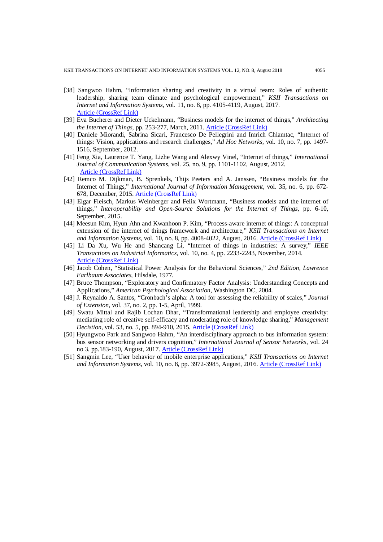- [38] Sangwoo Hahm, "Information sharing and creativity in a virtual team: Roles of authentic leadership, sharing team climate and psychological empowerment," *KSII Transactions on Internet and Information Systems*, vol. 11, no. 8, pp. 4105-4119, August, 2017. [Article \(CrossRef Link\)](http://doi.org/10.3837/tiis.2017.08.020)
- [39] Eva Bucherer and Dieter Uckelmann, "Business models for the internet of things," *Architecting the Internet of Things*, pp. 253-277, March, 2011. [Article \(CrossRef Link\)](http://doi.org/10.1007/978-3-642-19157-2)
- [40] Daniele Miorandi, Sabrina Sicari, Francesco De Pellegrini and Imrich Chlamtac, "Internet of things: Vision, applications and research challenges," *Ad Hoc Networks*, vol. 10, no. 7, pp. 1497- 1516, September, 2012.
- [41] Feng Xia, Laurence T. Yang, Lizhe Wang and Alexwy Vinel, "Internet of things," *International Journal of Communication Systems*, vol. 25, no. 9, pp. 1101-1102, August, 2012. [Article \(CrossRef Link\)](http://doi.org/10.1002/dac.2417)
- [42] Remco M. Dijkman, B. Sprenkels, Thijs Peeters and A. Janssen, "Business models for the Internet of Things," *International Journal of Information Management*, vol. 35, no. 6, pp. 672- 678, December, 2015. [Article \(CrossRef Link\)](http://dx.doi.org/10.1016/j.ijinfomgt.2015.07.008)
- [43] Elgar Fleisch, Markus Weinberger and Felix Wortmann, "Business models and the internet of things," *Interoperability and Open-Source Solutions for the Internet of Things*, pp. 6-10, September, 2015.
- [44] Meesun Kim, Hyun Ahn and Kwanhoon P. Kim, "Process-aware internet of things: A conceptual extension of the internet of things framework and architecture," *KSII Transactions on Internet and Information Systems*, vol. 10, no. 8, pp. 4008-4022, August, 2016[. Article \(CrossRef Link\)](http://dx.doi.org/10.3837/tiis.2016.08.032)
- [45] Li Da Xu, Wu He and Shancang Li, "Internet of things in industries: A survey," *IEEE Transactions on Industrial Informatics*, vol. 10, no. 4, pp. 2233-2243, November, 2014. [Article \(CrossRef Link\)](http://dx.doi.org/10.1109/TII.2014.2300753)
- [46] Jacob Cohen, "Statistical Power Analysis for the Behavioral Sciences," *2nd Edition, Lawrence Earlbaum Associates*, Hilsdale, 1977.
- [47] Bruce Thompson, "Exploratory and Confirmatory Factor Analysis: Understanding Concepts and Applications," *American Psychological Association*, Washington DC, 2004.
- [48] J. Reynaldo A. Santos, "Cronbach's alpha: A tool for assessing the reliability of scales," *Journal of Extension*, vol. 37, no. 2, pp. 1-5, April, 1999.
- [49] Swatu Mittal and Rajib Lochan Dhar, "Transformational leadership and employee creativity: mediating role of creative self-efficacy and moderating role of knowledge sharing," *Management Decistion*, vol. 53, no. 5, pp. 894-910, 2015. [Article \(CrossRef Link\)](http://10.0.4.84/MD-07-2014-0464)
- [50] Hyungwoo Park and Sangwoo Hahm, "An interdisciplinary approach to bus information system: bus sensor networking and drivers cognition," *International Journal of Sensor Networks*, vol. 24 no 3. pp.183-190, August, 2017. [Article \(CrossRef Link\)](https://doi.org/10.1504/IJSNET.2017.085765)
- [51] Sangmin Lee, "User behavior of mobile enterprise applications," *KSII Transactions on Internet and Information Systems*, vol. 10, no. 8, pp. 3972-3985, August, 2016[. Article \(CrossRef Link\)](http://dx.doi.org/10.3837/tiis.2016.08.030)